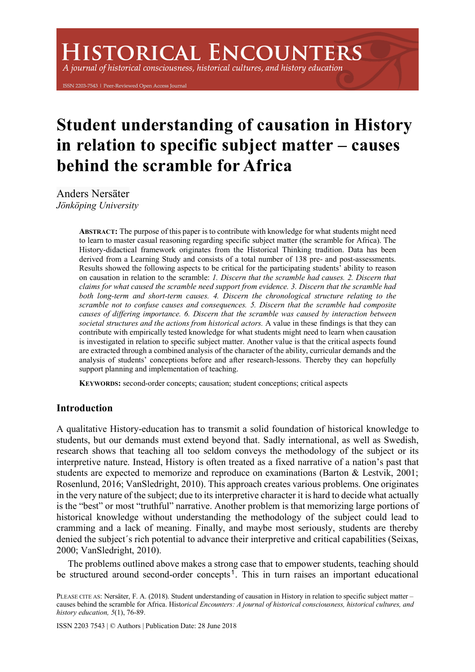# **HISTORICAL ENCOUNTERS**

A journal of historical consciousness, historical cultures, and history education

ISSN 2203-7543 | Peer-Reviewed Open Access Journal

## **Student understanding of causation in History in relation to specific subject matter – causes behind the scramble for Africa**

Anders Nersäter *Jönköping University*

> **ABSTRACT:** The purpose of this paper is to contribute with knowledge for what students might need to learn to master casual reasoning regarding specific subject matter (the scramble for Africa). The History-didactical framework originates from the Historical Thinking tradition. Data has been derived from a Learning Study and consists of a total number of 138 pre- and post-assessments. Results showed the following aspects to be critical for the participating students' ability to reason on causation in relation to the scramble: *1. Discern that the scramble had causes. 2. Discern that claims for what caused the scramble need support from evidence. 3. Discern that the scramble had both long-term and short-term causes. 4. Discern the chronological structure relating to the scramble not to confuse causes and consequences. 5. Discern that the scramble had composite causes of differing importance. 6. Discern that the scramble was caused by interaction between societal structures and the actions from historical actors.* A value in these findings is that they can contribute with empirically tested knowledge for what students might need to learn when causation is investigated in relation to specific subject matter. Another value is that the critical aspects found are extracted through a combined analysis of the character of the ability, curricular demands and the analysis of students' conceptions before and after research-lessons. Thereby they can hopefully support planning and implementation of teaching.

**KEYWORDS:** second-order concepts; causation; student conceptions; critical aspects

## **Introduction**

A qualitative History-education has to transmit a solid foundation of historical knowledge to students, but our demands must extend beyond that. Sadly international, as well as Swedish, research shows that teaching all too seldom conveys the methodology of the subject or its interpretive nature. Instead, History is often treated as a fixed narrative of a nation's past that students are expected to memorize and reproduce on examinations (Barton & Lestvik, 2001; Rosenlund, 2016; VanSledright, 2010). This approach creates various problems. One originates in the very nature of the subject; due to its interpretive character it is hard to decide what actually is the "best" or most "truthful" narrative. Another problem is that memorizing large portions of historical knowledge without understanding the methodology of the subject could lead to cramming and a lack of meaning. Finally, and maybe most seriously, students are thereby denied the subject´s rich potential to advance their interpretive and critical capabilities (Seixas, 2000; VanSledright, 2010).

The problems outlined above makes a strong case that to empower students, teaching should be structured around second-order concepts<sup>1</sup>. This in turn raises an important educational

PLEASE CITE AS: Nersäter, F. A. (2018). Student understanding of causation in History in relation to specific subject matter – causes behind the scramble for Africa. Hist*orical Encounters: A journal of historical consciousness, historical cultures, and history education, 5*(1), 76-89.

ISSN 2203 7543 | © Authors | Publication Date: 28 June 2018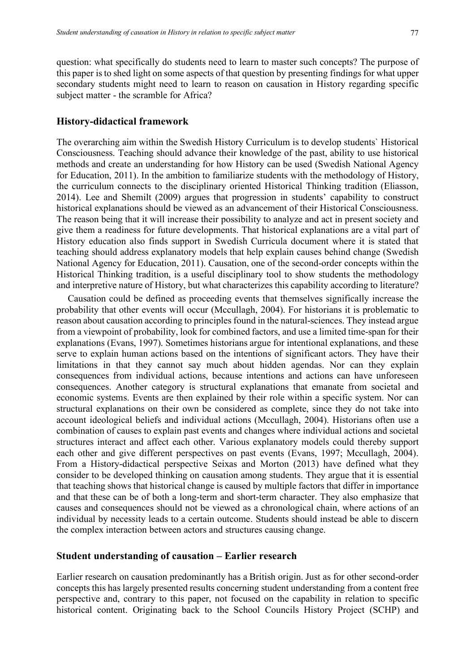question: what specifically do students need to learn to master such concepts? The purpose of this paper is to shed light on some aspects of that question by presenting findings for what upper secondary students might need to learn to reason on causation in History regarding specific subject matter - the scramble for Africa?

## **History-didactical framework**

The overarching aim within the Swedish History Curriculum is to develop students` Historical Consciousness. Teaching should advance their knowledge of the past, ability to use historical methods and create an understanding for how History can be used (Swedish National Agency for Education, 2011). In the ambition to familiarize students with the methodology of History, the curriculum connects to the disciplinary oriented Historical Thinking tradition (Eliasson, 2014). Lee and Shemilt (2009) argues that progression in students' capability to construct historical explanations should be viewed as an advancement of their Historical Consciousness. The reason being that it will increase their possibility to analyze and act in present society and give them a readiness for future developments. That historical explanations are a vital part of History education also finds support in Swedish Curricula document where it is stated that teaching should address explanatory models that help explain causes behind change (Swedish National Agency for Education, 2011). Causation, one of the second-order concepts within the Historical Thinking tradition, is a useful disciplinary tool to show students the methodology and interpretive nature of History, but what characterizes this capability according to literature?

Causation could be defined as proceeding events that themselves significally increase the probability that other events will occur (Mccullagh, 2004). For historians it is problematic to reason about causation according to principles found in the natural-sciences. They instead argue from a viewpoint of probability, look for combined factors, and use a limited time-span for their explanations (Evans, 1997). Sometimes historians argue for intentional explanations, and these serve to explain human actions based on the intentions of significant actors. They have their limitations in that they cannot say much about hidden agendas. Nor can they explain consequences from individual actions, because intentions and actions can have unforeseen consequences. Another category is structural explanations that emanate from societal and economic systems. Events are then explained by their role within a specific system. Nor can structural explanations on their own be considered as complete, since they do not take into account ideological beliefs and individual actions (Mccullagh, 2004). Historians often use a combination of causes to explain past events and changes where individual actions and societal structures interact and affect each other. Various explanatory models could thereby support each other and give different perspectives on past events (Evans, 1997; Mccullagh, 2004). From a History-didactical perspective Seixas and Morton (2013) have defined what they consider to be developed thinking on causation among students. They argue that it is essential that teaching shows that historical change is caused by multiple factors that differ in importance and that these can be of both a long-term and short-term character. They also emphasize that causes and consequences should not be viewed as a chronological chain, where actions of an individual by necessity leads to a certain outcome. Students should instead be able to discern the complex interaction between actors and structures causing change.

## **Student understanding of causation – Earlier research**

Earlier research on causation predominantly has a British origin. Just as for other second-order concepts this has largely presented results concerning student understanding from a content free perspective and, contrary to this paper, not focused on the capability in relation to specific historical content. Originating back to the School Councils History Project (SCHP) and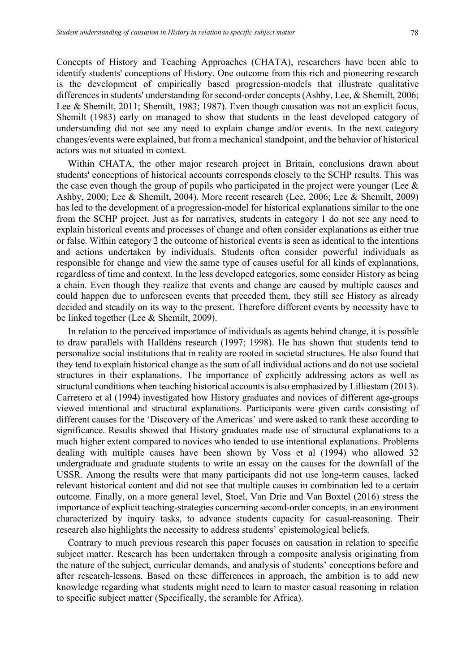Concepts of History and Teaching Approaches (CHATA), researchers have been able to identify students' conceptions of History. One outcome from this rich and pioneering research is the development of empirically based progression-models that illustrate qualitative differences in students' understanding for second-order concepts (Ashby, Lee, & Shemilt, 2006; Lee & Shemilt, 2011; Shemilt, 1983; 1987). Even though causation was not an explicit focus, Shemilt (1983) early on managed to show that students in the least developed category of understanding did not see any need to explain change and/or events. In the next category changes/events were explained, but from a mechanical standpoint, and the behavior of historical actors was not situated in context.

Within CHATA, the other major research project in Britain, conclusions drawn about students' conceptions of historical accounts corresponds closely to the SCHP results. This was the case even though the group of pupils who participated in the project were younger (Lee  $\&$ Ashby, 2000; Lee & Shemilt, 2004). More recent research (Lee, 2006; Lee & Shemilt, 2009) has led to the development of a progression-model for historical explanations similar to the one from the SCHP project. Just as for narratives, students in category 1 do not see any need to explain historical events and processes of change and often consider explanations as either true or false. Within category 2 the outcome of historical events is seen as identical to the intentions and actions undertaken by individuals. Students often consider powerful individuals as responsible for change and view the same type of causes useful for all kinds of explanations, regardless of time and context. In the less developed categories, some consider History as being a chain. Even though they realize that events and change are caused by multiple causes and could happen due to unforeseen events that preceded them, they still see History as already decided and steadily on its way to the present. Therefore different events by necessity have to be linked together (Lee & Shemilt, 2009).

In relation to the perceived importance of individuals as agents behind change, it is possible to draw parallels with Halldéns research (1997; 1998). He has shown that students tend to personalize social institutions that in reality are rooted in societal structures. He also found that they tend to explain historical change as the sum of all individual actions and do not use societal structures in their explanations. The importance of explicitly addressing actors as well as structural conditions when teaching historical accounts is also emphasized by Lilliestam (2013). Carretero et al (1994) investigated how History graduates and novices of different age-groups viewed intentional and structural explanations. Participants were given cards consisting of different causes for the 'Discovery of the Americas' and were asked to rank these according to significance. Results showed that History graduates made use of structural explanations to a much higher extent compared to novices who tended to use intentional explanations. Problems dealing with multiple causes have been shown by Voss et al (1994) who allowed 32 undergraduate and graduate students to write an essay on the causes for the downfall of the USSR. Among the results were that many participants did not use long-term causes, lacked relevant historical content and did not see that multiple causes in combination led to a certain outcome. Finally, on a more general level, Stoel, Van Drie and Van Boxtel (2016) stress the importance of explicit teaching-strategies concerning second-order concepts, in an environment characterized by inquiry tasks, to advance students capacity for casual-reasoning. Their research also highlights the necessity to address students' epistemological beliefs.

Contrary to much previous research this paper focuses on causation in relation to specific subject matter. Research has been undertaken through a composite analysis originating from the nature of the subject, curricular demands, and analysis of students' conceptions before and after research-lessons. Based on these differences in approach, the ambition is to add new knowledge regarding what students might need to learn to master casual reasoning in relation to specific subject matter (Specifically, the scramble for Africa).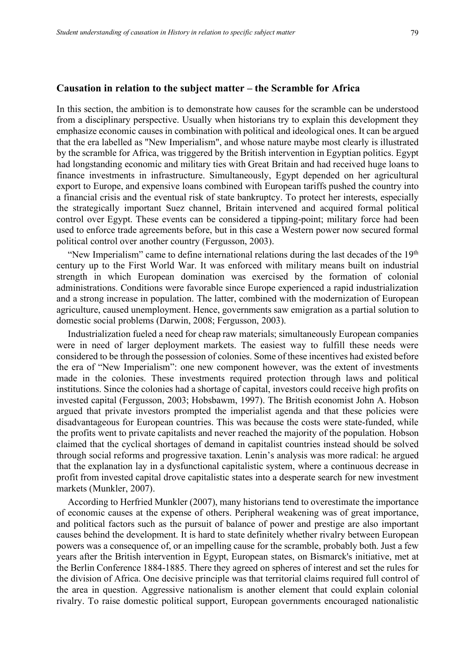## **Causation in relation to the subject matter – the Scramble for Africa**

In this section, the ambition is to demonstrate how causes for the scramble can be understood from a disciplinary perspective. Usually when historians try to explain this development they emphasize economic causes in combination with political and ideological ones. It can be argued that the era labelled as "New Imperialism", and whose nature maybe most clearly is illustrated by the scramble for Africa, was triggered by the British intervention in Egyptian politics. Egypt had longstanding economic and military ties with Great Britain and had received huge loans to finance investments in infrastructure. Simultaneously, Egypt depended on her agricultural export to Europe, and expensive loans combined with European tariffs pushed the country into a financial crisis and the eventual risk of state bankruptcy. To protect her interests, especially the strategically important Suez channel, Britain intervened and acquired formal political control over Egypt. These events can be considered a tipping-point; military force had been used to enforce trade agreements before, but in this case a Western power now secured formal political control over another country (Fergusson, 2003).

"New Imperialism" came to define international relations during the last decades of the 19<sup>th</sup> century up to the First World War. It was enforced with military means built on industrial strength in which European domination was exercised by the formation of colonial administrations. Conditions were favorable since Europe experienced a rapid industrialization and a strong increase in population. The latter, combined with the modernization of European agriculture, caused unemployment. Hence, governments saw emigration as a partial solution to domestic social problems (Darwin, 2008; Fergusson, 2003).

Industrialization fueled a need for cheap raw materials; simultaneously European companies were in need of larger deployment markets. The easiest way to fulfill these needs were considered to be through the possession of colonies. Some of these incentives had existed before the era of "New Imperialism": one new component however, was the extent of investments made in the colonies. These investments required protection through laws and political institutions. Since the colonies had a shortage of capital, investors could receive high profits on invested capital (Fergusson, 2003; Hobsbawm, 1997). The British economist John A. Hobson argued that private investors prompted the imperialist agenda and that these policies were disadvantageous for European countries. This was because the costs were state-funded, while the profits went to private capitalists and never reached the majority of the population. Hobson claimed that the cyclical shortages of demand in capitalist countries instead should be solved through social reforms and progressive taxation. Lenin's analysis was more radical: he argued that the explanation lay in a dysfunctional capitalistic system, where a continuous decrease in profit from invested capital drove capitalistic states into a desperate search for new investment markets (Munkler, 2007).

According to Herfried Munkler (2007), many historians tend to overestimate the importance of economic causes at the expense of others. Peripheral weakening was of great importance, and political factors such as the pursuit of balance of power and prestige are also important causes behind the development. It is hard to state definitely whether rivalry between European powers was a consequence of, or an impelling cause for the scramble, probably both. Just a few years after the British intervention in Egypt, European states, on Bismarck's initiative, met at the Berlin Conference 1884-1885. There they agreed on spheres of interest and set the rules for the division of Africa. One decisive principle was that territorial claims required full control of the area in question. Aggressive nationalism is another element that could explain colonial rivalry. To raise domestic political support, European governments encouraged nationalistic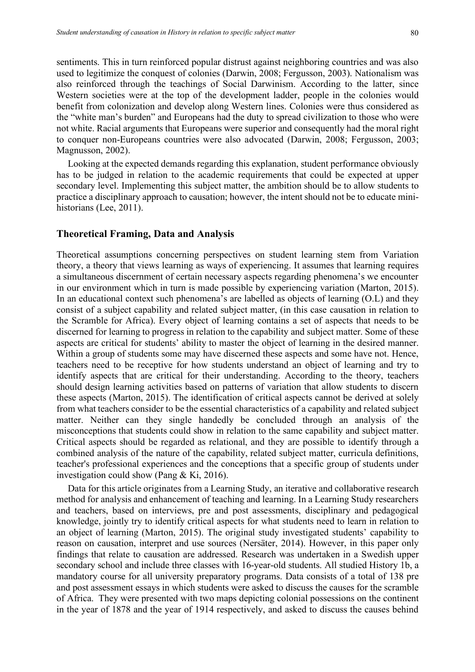sentiments. This in turn reinforced popular distrust against neighboring countries and was also used to legitimize the conquest of colonies (Darwin, 2008; Fergusson, 2003). Nationalism was also reinforced through the teachings of Social Darwinism. According to the latter, since Western societies were at the top of the development ladder, people in the colonies would benefit from colonization and develop along Western lines. Colonies were thus considered as the "white man's burden" and Europeans had the duty to spread civilization to those who were not white. Racial arguments that Europeans were superior and consequently had the moral right to conquer non-Europeans countries were also advocated (Darwin, 2008; Fergusson, 2003; Magnusson, 2002).

Looking at the expected demands regarding this explanation, student performance obviously has to be judged in relation to the academic requirements that could be expected at upper secondary level. Implementing this subject matter, the ambition should be to allow students to practice a disciplinary approach to causation; however, the intent should not be to educate minihistorians (Lee, 2011).

## **Theoretical Framing, Data and Analysis**

Theoretical assumptions concerning perspectives on student learning stem from Variation theory, a theory that views learning as ways of experiencing. It assumes that learning requires a simultaneous discernment of certain necessary aspects regarding phenomena's we encounter in our environment which in turn is made possible by experiencing variation (Marton, 2015). In an educational context such phenomena's are labelled as objects of learning (O.L) and they consist of a subject capability and related subject matter, (in this case causation in relation to the Scramble for Africa). Every object of learning contains a set of aspects that needs to be discerned for learning to progress in relation to the capability and subject matter. Some of these aspects are critical for students' ability to master the object of learning in the desired manner. Within a group of students some may have discerned these aspects and some have not. Hence, teachers need to be receptive for how students understand an object of learning and try to identify aspects that are critical for their understanding. According to the theory, teachers should design learning activities based on patterns of variation that allow students to discern these aspects (Marton, 2015). The identification of critical aspects cannot be derived at solely from what teachers consider to be the essential characteristics of a capability and related subject matter. Neither can they single handedly be concluded through an analysis of the misconceptions that students could show in relation to the same capability and subject matter. Critical aspects should be regarded as relational, and they are possible to identify through a combined analysis of the nature of the capability, related subject matter, curricula definitions, teacher's professional experiences and the conceptions that a specific group of students under investigation could show (Pang & Ki, 2016).

Data for this article originates from a Learning Study, an iterative and collaborative research method for analysis and enhancement of teaching and learning. In a Learning Study researchers and teachers, based on interviews, pre and post assessments, disciplinary and pedagogical knowledge, jointly try to identify critical aspects for what students need to learn in relation to an object of learning (Marton, 2015). The original study investigated students' capability to reason on causation, interpret and use sources (Nersäter, 2014). However, in this paper only findings that relate to causation are addressed. Research was undertaken in a Swedish upper secondary school and include three classes with 16-year-old students. All studied History 1b, a mandatory course for all university preparatory programs. Data consists of a total of 138 pre and post assessment essays in which students were asked to discuss the causes for the scramble of Africa. They were presented with two maps depicting colonial possessions on the continent in the year of 1878 and the year of 1914 respectively, and asked to discuss the causes behind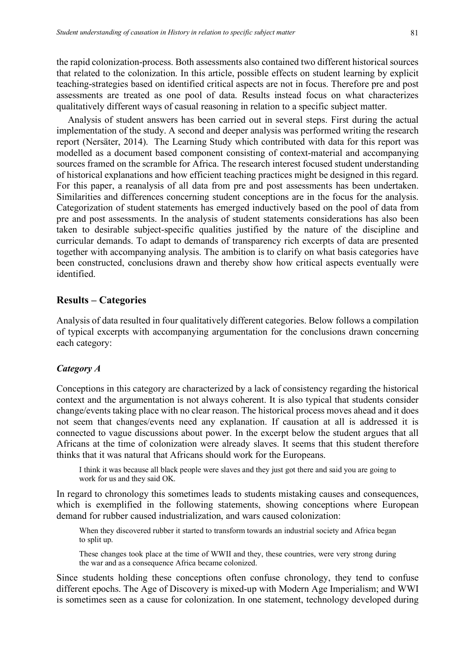the rapid colonization-process. Both assessments also contained two different historical sources that related to the colonization. In this article, possible effects on student learning by explicit teaching-strategies based on identified critical aspects are not in focus. Therefore pre and post assessments are treated as one pool of data. Results instead focus on what characterizes qualitatively different ways of casual reasoning in relation to a specific subject matter.

Analysis of student answers has been carried out in several steps. First during the actual implementation of the study. A second and deeper analysis was performed writing the research report (Nersäter, 2014). The Learning Study which contributed with data for this report was modelled as a document based component consisting of context-material and accompanying sources framed on the scramble for Africa. The research interest focused student understanding of historical explanations and how efficient teaching practices might be designed in this regard. For this paper, a reanalysis of all data from pre and post assessments has been undertaken. Similarities and differences concerning student conceptions are in the focus for the analysis. Categorization of student statements has emerged inductively based on the pool of data from pre and post assessments. In the analysis of student statements considerations has also been taken to desirable subject-specific qualities justified by the nature of the discipline and curricular demands. To adapt to demands of transparency rich excerpts of data are presented together with accompanying analysis. The ambition is to clarify on what basis categories have been constructed, conclusions drawn and thereby show how critical aspects eventually were identified.

## **Results – Categories**

Analysis of data resulted in four qualitatively different categories. Below follows a compilation of typical excerpts with accompanying argumentation for the conclusions drawn concerning each category:

## *Category A*

Conceptions in this category are characterized by a lack of consistency regarding the historical context and the argumentation is not always coherent. It is also typical that students consider change/events taking place with no clear reason. The historical process moves ahead and it does not seem that changes/events need any explanation. If causation at all is addressed it is connected to vague discussions about power. In the excerpt below the student argues that all Africans at the time of colonization were already slaves. It seems that this student therefore thinks that it was natural that Africans should work for the Europeans.

I think it was because all black people were slaves and they just got there and said you are going to work for us and they said OK.

In regard to chronology this sometimes leads to students mistaking causes and consequences, which is exemplified in the following statements, showing conceptions where European demand for rubber caused industrialization, and wars caused colonization:

When they discovered rubber it started to transform towards an industrial society and Africa began to split up.

These changes took place at the time of WWII and they, these countries, were very strong during the war and as a consequence Africa became colonized.

Since students holding these conceptions often confuse chronology, they tend to confuse different epochs. The Age of Discovery is mixed-up with Modern Age Imperialism; and WWI is sometimes seen as a cause for colonization. In one statement, technology developed during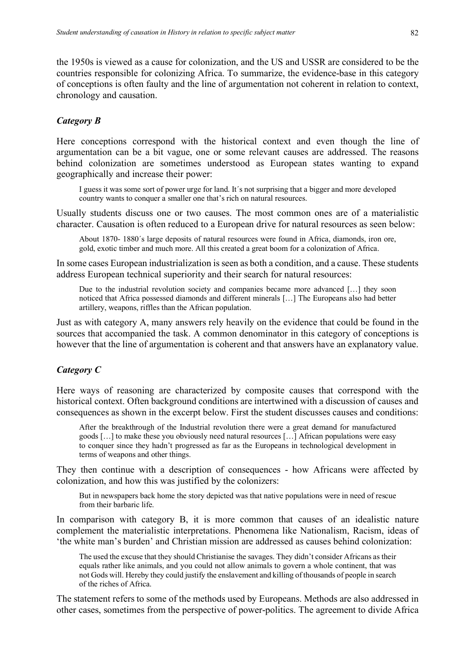the 1950s is viewed as a cause for colonization, and the US and USSR are considered to be the countries responsible for colonizing Africa. To summarize, the evidence-base in this category of conceptions is often faulty and the line of argumentation not coherent in relation to context, chronology and causation.

## *Category B*

Here conceptions correspond with the historical context and even though the line of argumentation can be a bit vague, one or some relevant causes are addressed. The reasons behind colonization are sometimes understood as European states wanting to expand geographically and increase their power:

I guess it was some sort of power urge for land. It´s not surprising that a bigger and more developed country wants to conquer a smaller one that's rich on natural resources.

Usually students discuss one or two causes. The most common ones are of a materialistic character. Causation is often reduced to a European drive for natural resources as seen below:

About 1870- 1880´s large deposits of natural resources were found in Africa, diamonds, iron ore, gold, exotic timber and much more. All this created a great boom for a colonization of Africa.

In some cases European industrialization is seen as both a condition, and a cause. These students address European technical superiority and their search for natural resources:

Due to the industrial revolution society and companies became more advanced […] they soon noticed that Africa possessed diamonds and different minerals […] The Europeans also had better artillery, weapons, riffles than the African population.

Just as with category A, many answers rely heavily on the evidence that could be found in the sources that accompanied the task. A common denominator in this category of conceptions is however that the line of argumentation is coherent and that answers have an explanatory value.

## *Category C*

Here ways of reasoning are characterized by composite causes that correspond with the historical context. Often background conditions are intertwined with a discussion of causes and consequences as shown in the excerpt below. First the student discusses causes and conditions:

After the breakthrough of the Industrial revolution there were a great demand for manufactured goods […] to make these you obviously need natural resources […] African populations were easy to conquer since they hadn't progressed as far as the Europeans in technological development in terms of weapons and other things.

They then continue with a description of consequences - how Africans were affected by colonization, and how this was justified by the colonizers:

But in newspapers back home the story depicted was that native populations were in need of rescue from their barbaric life.

In comparison with category B, it is more common that causes of an idealistic nature complement the materialistic interpretations. Phenomena like Nationalism, Racism, ideas of 'the white man's burden' and Christian mission are addressed as causes behind colonization:

The used the excuse that they should Christianise the savages. They didn't consider Africans as their equals rather like animals, and you could not allow animals to govern a whole continent, that was not Gods will. Hereby they could justify the enslavement and killing of thousands of people in search of the riches of Africa.

The statement refers to some of the methods used by Europeans. Methods are also addressed in other cases, sometimes from the perspective of power-politics. The agreement to divide Africa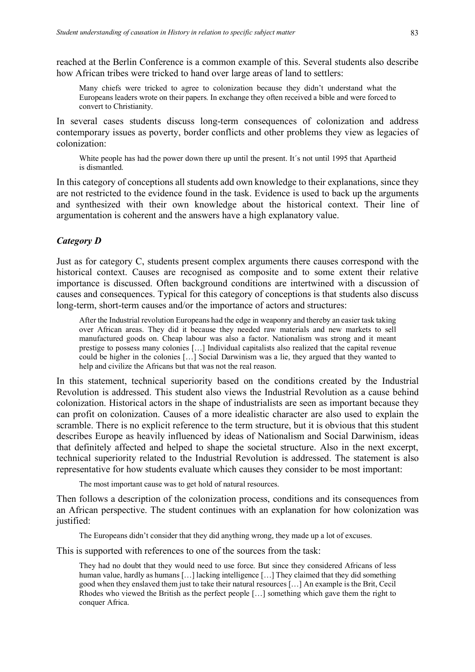reached at the Berlin Conference is a common example of this. Several students also describe how African tribes were tricked to hand over large areas of land to settlers:

Many chiefs were tricked to agree to colonization because they didn't understand what the Europeans leaders wrote on their papers. In exchange they often received a bible and were forced to convert to Christianity.

In several cases students discuss long-term consequences of colonization and address contemporary issues as poverty, border conflicts and other problems they view as legacies of colonization:

White people has had the power down there up until the present. It's not until 1995 that Apartheid is dismantled.

In this category of conceptions all students add own knowledge to their explanations, since they are not restricted to the evidence found in the task. Evidence is used to back up the arguments and synthesized with their own knowledge about the historical context. Their line of argumentation is coherent and the answers have a high explanatory value.

## *Category D*

Just as for category C, students present complex arguments there causes correspond with the historical context. Causes are recognised as composite and to some extent their relative importance is discussed. Often background conditions are intertwined with a discussion of causes and consequences. Typical for this category of conceptions is that students also discuss long-term, short-term causes and/or the importance of actors and structures:

After the Industrial revolution Europeans had the edge in weaponry and thereby an easier task taking over African areas. They did it because they needed raw materials and new markets to sell manufactured goods on. Cheap labour was also a factor. Nationalism was strong and it meant prestige to possess many colonies […] Individual capitalists also realized that the capital revenue could be higher in the colonies […] Social Darwinism was a lie, they argued that they wanted to help and civilize the Africans but that was not the real reason.

In this statement, technical superiority based on the conditions created by the Industrial Revolution is addressed. This student also views the Industrial Revolution as a cause behind colonization. Historical actors in the shape of industrialists are seen as important because they can profit on colonization. Causes of a more idealistic character are also used to explain the scramble. There is no explicit reference to the term structure, but it is obvious that this student describes Europe as heavily influenced by ideas of Nationalism and Social Darwinism, ideas that definitely affected and helped to shape the societal structure. Also in the next excerpt, technical superiority related to the Industrial Revolution is addressed. The statement is also representative for how students evaluate which causes they consider to be most important:

The most important cause was to get hold of natural resources.

Then follows a description of the colonization process, conditions and its consequences from an African perspective. The student continues with an explanation for how colonization was justified:

The Europeans didn't consider that they did anything wrong, they made up a lot of excuses.

This is supported with references to one of the sources from the task:

They had no doubt that they would need to use force. But since they considered Africans of less human value, hardly as humans [...] lacking intelligence [...] They claimed that they did something good when they enslaved them just to take their natural resources […] An example is the Brit, Cecil Rhodes who viewed the British as the perfect people […] something which gave them the right to conquer Africa.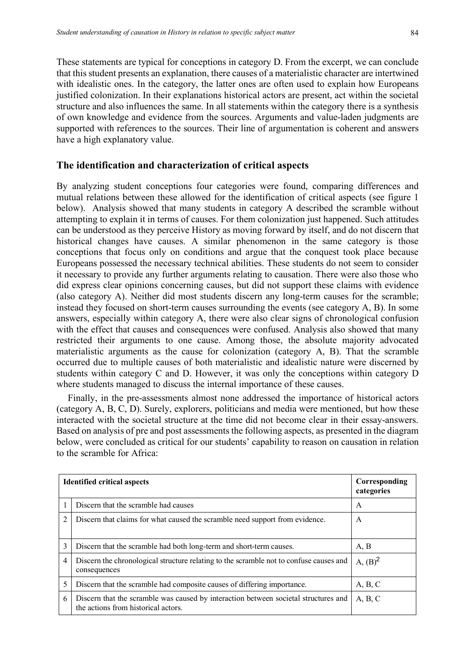These statements are typical for conceptions in category D. From the excerpt, we can conclude that this student presents an explanation, there causes of a materialistic character are intertwined with idealistic ones. In the category, the latter ones are often used to explain how Europeans justified colonization. In their explanations historical actors are present, act within the societal structure and also influences the same. In all statements within the category there is a synthesis of own knowledge and evidence from the sources. Arguments and value-laden judgments are supported with references to the sources. Their line of argumentation is coherent and answers have a high explanatory value.

## **The identification and characterization of critical aspects**

By analyzing student conceptions four categories were found, comparing differences and mutual relations between these allowed for the identification of critical aspects (see figure 1 below). Analysis showed that many students in category A described the scramble without attempting to explain it in terms of causes. For them colonization just happened. Such attitudes can be understood as they perceive History as moving forward by itself, and do not discern that historical changes have causes. A similar phenomenon in the same category is those conceptions that focus only on conditions and argue that the conquest took place because Europeans possessed the necessary technical abilities. These students do not seem to consider it necessary to provide any further arguments relating to causation. There were also those who did express clear opinions concerning causes, but did not support these claims with evidence (also category A). Neither did most students discern any long-term causes for the scramble; instead they focused on short-term causes surrounding the events (see category A, B). In some answers, especially within category A, there were also clear signs of chronological confusion with the effect that causes and consequences were confused. Analysis also showed that many restricted their arguments to one cause. Among those, the absolute majority advocated materialistic arguments as the cause for colonization (category A, B). That the scramble occurred due to multiple causes of both materialistic and idealistic nature were discerned by students within category C and D. However, it was only the conceptions within category D where students managed to discuss the internal importance of these causes.

Finally, in the pre-assessments almost none addressed the importance of historical actors (category A, B, C, D). Surely, explorers, politicians and media were mentioned, but how these interacted with the societal structure at the time did not become clear in their essay-answers. Based on analysis of pre and post assessments the following aspects, as presented in the diagram below, were concluded as critical for our students' capability to reason on causation in relation to the scramble for Africa:

| <b>Identified critical aspects</b> |                                                                                                                            | Corresponding<br>categories |
|------------------------------------|----------------------------------------------------------------------------------------------------------------------------|-----------------------------|
|                                    | Discern that the scramble had causes                                                                                       | A                           |
| 2                                  | Discern that claims for what caused the scramble need support from evidence.                                               | A                           |
| 3                                  | Discern that the scramble had both long-term and short-term causes.                                                        | A, B                        |
| 4                                  | Discern the chronological structure relating to the scramble not to confuse causes and<br>consequences                     | $A, (B)^2$                  |
| 5                                  | Discern that the scramble had composite causes of differing importance.                                                    | A, B, C                     |
| 6                                  | Discern that the scramble was caused by interaction between societal structures and<br>the actions from historical actors. | A, B, C                     |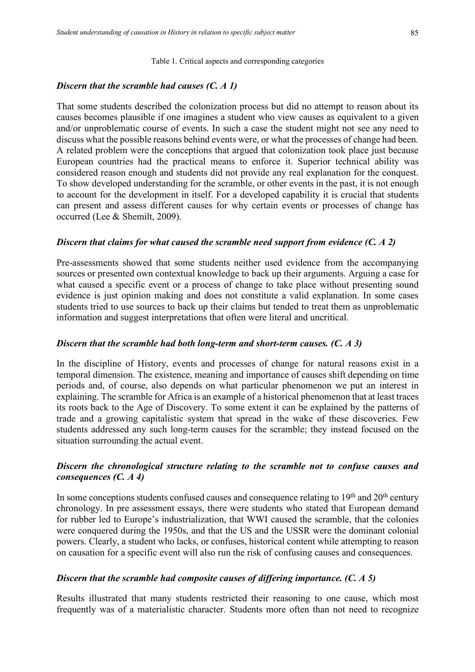Table 1. Critical aspects and corresponding categories

## *Discern that the scramble had causes (C. A 1)*

That some students described the colonization process but did no attempt to reason about its causes becomes plausible if one imagines a student who view causes as equivalent to a given and/or unproblematic course of events. In such a case the student might not see any need to discuss what the possible reasons behind events were, or what the processes of change had been. A related problem were the conceptions that argued that colonization took place just because European countries had the practical means to enforce it. Superior technical ability was considered reason enough and students did not provide any real explanation for the conquest. To show developed understanding for the scramble, or other events in the past, it is not enough to account for the development in itself. For a developed capability it is crucial that students can present and assess different causes for why certain events or processes of change has occurred (Lee & Shemilt, 2009).

## *Discern that claims for what caused the scramble need support from evidence (C. A 2)*

Pre-assessments showed that some students neither used evidence from the accompanying sources or presented own contextual knowledge to back up their arguments. Arguing a case for what caused a specific event or a process of change to take place without presenting sound evidence is just opinion making and does not constitute a valid explanation. In some cases students tried to use sources to back up their claims but tended to treat them as unproblematic information and suggest interpretations that often were literal and uncritical.

## *Discern that the scramble had both long-term and short-term causes. (C. A 3)*

In the discipline of History, events and processes of change for natural reasons exist in a temporal dimension. The existence, meaning and importance of causes shift depending on time periods and, of course, also depends on what particular phenomenon we put an interest in explaining. The scramble for Africa is an example of a historical phenomenon that at least traces its roots back to the Age of Discovery. To some extent it can be explained by the patterns of trade and a growing capitalistic system that spread in the wake of these discoveries. Few students addressed any such long-term causes for the scramble; they instead focused on the situation surrounding the actual event.

## *Discern the chronological structure relating to the scramble not to confuse causes and consequences (C. A 4)*

In some conceptions students confused causes and consequence relating to 19<sup>th</sup> and 20<sup>th</sup> century chronology. In pre assessment essays, there were students who stated that European demand for rubber led to Europe's industrialization, that WWI caused the scramble, that the colonies were conquered during the 1950s, and that the US and the USSR were the dominant colonial powers. Clearly, a student who lacks, or confuses, historical content while attempting to reason on causation for a specific event will also run the risk of confusing causes and consequences.

## *Discern that the scramble had composite causes of differing importance. (C. A 5)*

Results illustrated that many students restricted their reasoning to one cause, which most frequently was of a materialistic character. Students more often than not need to recognize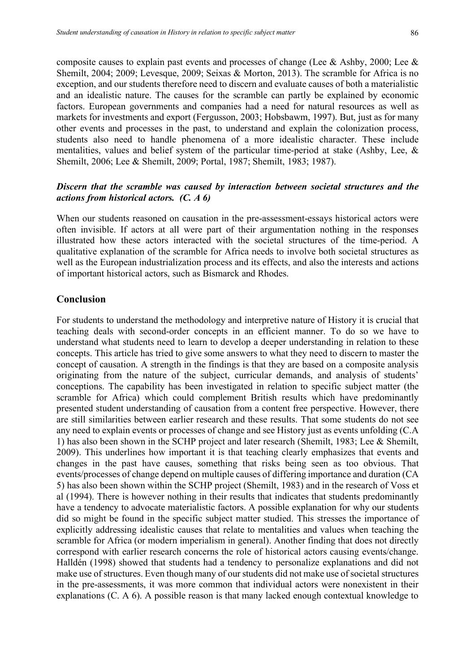composite causes to explain past events and processes of change (Lee & Ashby, 2000; Lee & Shemilt, 2004; 2009; Levesque, 2009; Seixas & Morton, 2013). The scramble for Africa is no exception, and our students therefore need to discern and evaluate causes of both a materialistic and an idealistic nature. The causes for the scramble can partly be explained by economic factors. European governments and companies had a need for natural resources as well as markets for investments and export (Fergusson, 2003; Hobsbawm, 1997). But, just as for many other events and processes in the past, to understand and explain the colonization process, students also need to handle phenomena of a more idealistic character. These include mentalities, values and belief system of the particular time-period at stake (Ashby, Lee, & Shemilt, 2006; Lee & Shemilt, 2009; Portal, 1987; Shemilt, 1983; 1987).

## *Discern that the scramble was caused by interaction between societal structures and the actions from historical actors. (C. A 6)*

When our students reasoned on causation in the pre-assessment-essays historical actors were often invisible. If actors at all were part of their argumentation nothing in the responses illustrated how these actors interacted with the societal structures of the time-period. A qualitative explanation of the scramble for Africa needs to involve both societal structures as well as the European industrialization process and its effects, and also the interests and actions of important historical actors, such as Bismarck and Rhodes.

## **Conclusion**

For students to understand the methodology and interpretive nature of History it is crucial that teaching deals with second-order concepts in an efficient manner. To do so we have to understand what students need to learn to develop a deeper understanding in relation to these concepts. This article has tried to give some answers to what they need to discern to master the concept of causation. A strength in the findings is that they are based on a composite analysis originating from the nature of the subject, curricular demands, and analysis of students' conceptions. The capability has been investigated in relation to specific subject matter (the scramble for Africa) which could complement British results which have predominantly presented student understanding of causation from a content free perspective. However, there are still similarities between earlier research and these results. That some students do not see any need to explain events or processes of change and see History just as events unfolding (C.A 1) has also been shown in the SCHP project and later research (Shemilt, 1983; Lee & Shemilt, 2009). This underlines how important it is that teaching clearly emphasizes that events and changes in the past have causes, something that risks being seen as too obvious. That events/processes of change depend on multiple causes of differing importance and duration (CA 5) has also been shown within the SCHP project (Shemilt, 1983) and in the research of Voss et al (1994). There is however nothing in their results that indicates that students predominantly have a tendency to advocate materialistic factors. A possible explanation for why our students did so might be found in the specific subject matter studied. This stresses the importance of explicitly addressing idealistic causes that relate to mentalities and values when teaching the scramble for Africa (or modern imperialism in general). Another finding that does not directly correspond with earlier research concerns the role of historical actors causing events/change. Halldén (1998) showed that students had a tendency to personalize explanations and did not make use of structures. Even though many of our students did not make use of societal structures in the pre-assessments, it was more common that individual actors were nonexistent in their explanations (C. A 6). A possible reason is that many lacked enough contextual knowledge to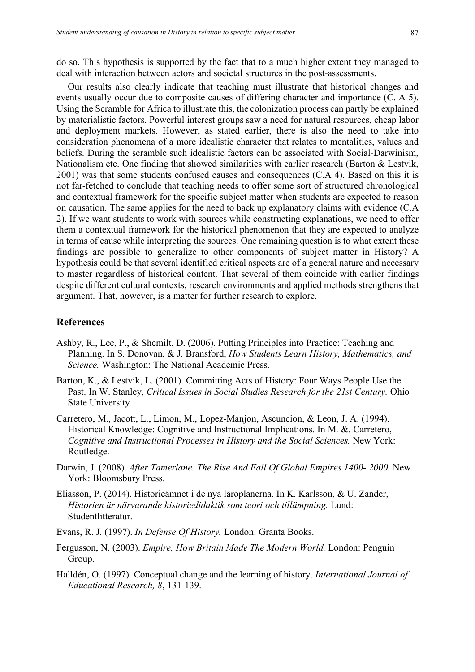do so. This hypothesis is supported by the fact that to a much higher extent they managed to deal with interaction between actors and societal structures in the post-assessments.

Our results also clearly indicate that teaching must illustrate that historical changes and events usually occur due to composite causes of differing character and importance (C. A 5). Using the Scramble for Africa to illustrate this, the colonization process can partly be explained by materialistic factors. Powerful interest groups saw a need for natural resources, cheap labor and deployment markets. However, as stated earlier, there is also the need to take into consideration phenomena of a more idealistic character that relates to mentalities, values and beliefs. During the scramble such idealistic factors can be associated with Social-Darwinism, Nationalism etc. One finding that showed similarities with earlier research (Barton & Lestvik, 2001) was that some students confused causes and consequences (C.A 4). Based on this it is not far-fetched to conclude that teaching needs to offer some sort of structured chronological and contextual framework for the specific subject matter when students are expected to reason on causation. The same applies for the need to back up explanatory claims with evidence (C.A 2). If we want students to work with sources while constructing explanations, we need to offer them a contextual framework for the historical phenomenon that they are expected to analyze in terms of cause while interpreting the sources. One remaining question is to what extent these findings are possible to generalize to other components of subject matter in History? A hypothesis could be that several identified critical aspects are of a general nature and necessary to master regardless of historical content. That several of them coincide with earlier findings despite different cultural contexts, research environments and applied methods strengthens that argument. That, however, is a matter for further research to explore.

### **References**

- Ashby, R., Lee, P., & Shemilt, D. (2006). Putting Principles into Practice: Teaching and Planning. In S. Donovan, & J. Bransford, *How Students Learn History, Mathematics, and Science.* Washington: The National Academic Press.
- Barton, K., & Lestvik, L. (2001). Committing Acts of History: Four Ways People Use the Past. In W. Stanley, *Critical Issues in Social Studies Research for the 21st Century.* Ohio State University.
- Carretero, M., Jacott, L., Limon, M., Lopez-Manjon, Ascuncion, & Leon, J. A. (1994). Historical Knowledge: Cognitive and Instructional Implications. In M. &. Carretero, *Cognitive and Instructional Processes in History and the Social Sciences.* New York: Routledge.
- Darwin, J. (2008). *After Tamerlane. The Rise And Fall Of Global Empires 1400- 2000.* New York: Bloomsbury Press.
- Eliasson, P. (2014). Historieämnet i de nya läroplanerna. In K. Karlsson, & U. Zander, *Historien är närvarande historiedidaktik som teori och tillämpning.* Lund: Studentlitteratur.
- Evans, R. J. (1997). *In Defense Of History.* London: Granta Books.
- Fergusson, N. (2003). *Empire, How Britain Made The Modern World.* London: Penguin Group.
- Halldén, O. (1997). Conceptual change and the learning of history. *International Journal of Educational Research, 8*, 131-139.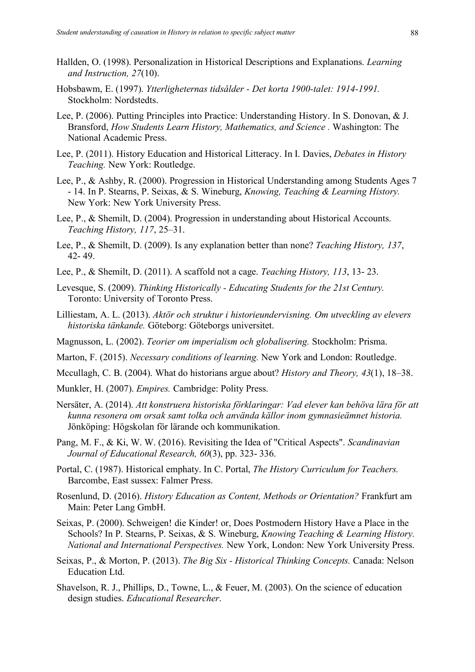- Hallden, O. (1998). Personalization in Historical Descriptions and Explanations. *Learning and Instruction, 27*(10).
- Hobsbawm, E. (1997). *Ytterligheternas tidsålder - Det korta 1900-talet: 1914-1991.* Stockholm: Nordstedts.
- Lee, P. (2006). Putting Principles into Practice: Understanding History. In S. Donovan, & J. Bransford, *How Students Learn History, Mathematics, and Science .* Washington: The National Academic Press.
- Lee, P. (2011). History Education and Historical Litteracy. In I. Davies, *Debates in History Teaching.* New York: Routledge.
- Lee, P., & Ashby, R. (2000). Progression in Historical Understanding among Students Ages 7 - 14. In P. Stearns, P. Seixas, & S. Wineburg, *Knowing, Teaching & Learning History.* New York: New York University Press.
- Lee, P., & Shemilt, D. (2004). Progression in understanding about Historical Accounts. *Teaching History, 117*, 25–31.
- Lee, P., & Shemilt, D. (2009). Is any explanation better than none? *Teaching History, 137*, 42- 49.
- Lee, P., & Shemilt, D. (2011). A scaffold not a cage. *Teaching History, 113*, 13- 23.
- Levesque, S. (2009). *Thinking Historically - Educating Students for the 21st Century.* Toronto: University of Toronto Press.
- Lilliestam, A. L. (2013). *Aktör och struktur i historieundervisning. Om utveckling av elevers historiska tänkande.* Göteborg: Göteborgs universitet.
- Magnusson, L. (2002). *Teorier om imperialism och globalisering.* Stockholm: Prisma.
- Marton, F. (2015). *Necessary conditions of learning.* New York and London: Routledge.
- Mccullagh, C. B. (2004). What do historians argue about? *History and Theory, 43*(1), 18–38.
- Munkler, H. (2007). *Empires.* Cambridge: Polity Press.
- Nersäter, A. (2014). *Att konstruera historiska förklaringar: Vad elever kan behöva lära för att kunna resonera om orsak samt tolka och använda källor inom gymnasieämnet historia.* Jönköping: Högskolan för lärande och kommunikation.
- Pang, M. F., & Ki, W. W. (2016). Revisiting the Idea of "Critical Aspects". *Scandinavian Journal of Educational Research, 60*(3), pp. 323- 336.
- Portal, C. (1987). Historical emphaty. In C. Portal, *The History Curriculum for Teachers.* Barcombe, East sussex: Falmer Press.
- Rosenlund, D. (2016). *History Education as Content, Methods or Orientation?* Frankfurt am Main: Peter Lang GmbH.
- Seixas, P. (2000). Schweigen! die Kinder! or, Does Postmodern History Have a Place in the Schools? In P. Stearns, P. Seixas, & S. Wineburg, *Knowing Teaching & Learning History. National and International Perspectives.* New York, London: New York University Press.
- Seixas, P., & Morton, P. (2013). *The Big Six - Historical Thinking Concepts.* Canada: Nelson Education Ltd.
- Shavelson, R. J., Phillips, D., Towne, L., & Feuer, M. (2003). On the science of education design studies. *Educational Researcher*.